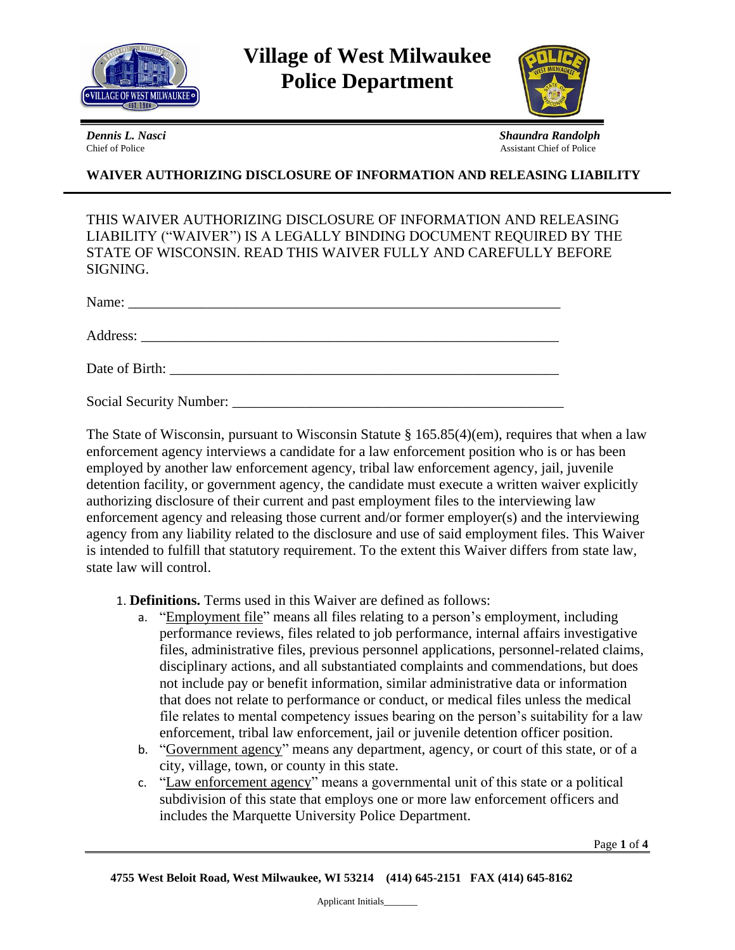

**Village of West Milwaukee Police Department**



*Dennis L. Nasci Shaundra Randolph* Chief of Police Assistant Chief of Police Assistant Chief of Police

# **WAIVER AUTHORIZING DISCLOSURE OF INFORMATION AND RELEASING LIABILITY**

THIS WAIVER AUTHORIZING DISCLOSURE OF INFORMATION AND RELEASING LIABILITY ("WAIVER") IS A LEGALLY BINDING DOCUMENT REQUIRED BY THE STATE OF WISCONSIN. READ THIS WAIVER FULLY AND CAREFULLY BEFORE SIGNING.

| Name:<br><u> 1980 - Jan Barbara, Amerikaansk politik (</u> † 1920) |
|--------------------------------------------------------------------|
|                                                                    |
| Date of Birth:                                                     |

Social Security Number: \_\_\_\_\_\_\_\_\_\_\_\_\_\_\_\_\_\_\_\_\_\_\_\_\_\_\_\_\_\_\_\_\_\_\_\_\_\_\_\_\_\_\_\_\_\_

The State of Wisconsin, pursuant to Wisconsin Statute § 165.85(4)(em), requires that when a law enforcement agency interviews a candidate for a law enforcement position who is or has been employed by another law enforcement agency, tribal law enforcement agency, jail, juvenile detention facility, or government agency, the candidate must execute a written waiver explicitly authorizing disclosure of their current and past employment files to the interviewing law enforcement agency and releasing those current and/or former employer(s) and the interviewing agency from any liability related to the disclosure and use of said employment files. This Waiver is intended to fulfill that statutory requirement. To the extent this Waiver differs from state law, state law will control.

#### 1. **Definitions.** Terms used in this Waiver are defined as follows:

- a. "Employment file" means all files relating to a person's employment, including performance reviews, files related to job performance, internal affairs investigative files, administrative files, previous personnel applications, personnel-related claims, disciplinary actions, and all substantiated complaints and commendations, but does not include pay or benefit information, similar administrative data or information that does not relate to performance or conduct, or medical files unless the medical file relates to mental competency issues bearing on the person's suitability for a law enforcement, tribal law enforcement, jail or juvenile detention officer position.
- b. "Government agency" means any department, agency, or court of this state, or of a city, village, town, or county in this state.
- c. "Law enforcement agency" means a governmental unit of this state or a political subdivision of this state that employs one or more law enforcement officers and includes the Marquette University Police Department.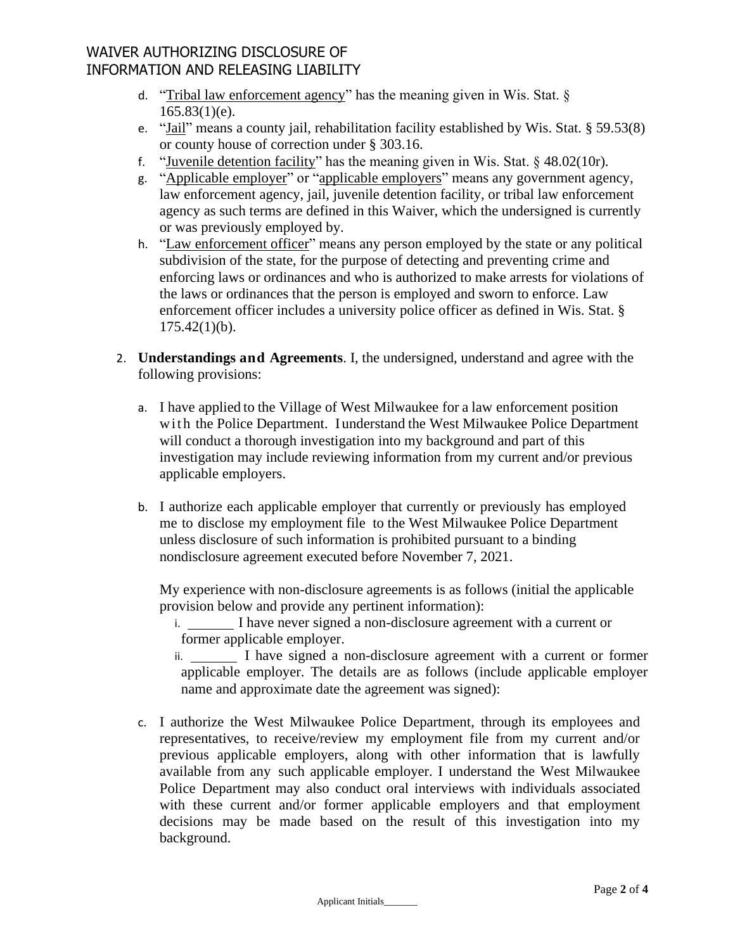# WAIVER AUTHORIZING DISCLOSURE OF INFORMATION AND RELEASING LIABILITY

- d. "Tribal law enforcement agency" has the meaning given in Wis. Stat. §  $165.83(1)(e)$ .
- e. "Jail" means a county jail, rehabilitation facility established by Wis. Stat. § 59.53(8) or county house of correction under § 303.16.
- f. "Juvenile detention facility" has the meaning given in Wis. Stat.  $\S$  48.02(10r).
- g. "Applicable employer" or "applicable employers" means any government agency, law enforcement agency, jail, juvenile detention facility, or tribal law enforcement agency as such terms are defined in this Waiver, which the undersigned is currently or was previously employed by.
- h. "Law enforcement officer" means any person employed by the state or any political subdivision of the state, for the purpose of detecting and preventing crime and enforcing laws or ordinances and who is authorized to make arrests for violations of the laws or ordinances that the person is employed and sworn to enforce. Law enforcement officer includes a university police officer as defined in Wis. Stat. §  $175.42(1)(b)$ .
- 2. **Understandings and Agreements**. I, the undersigned, understand and agree with the following provisions:
	- a. I have applied to the Village of West Milwaukee for a law enforcement position with the Police Department. I understand the West Milwaukee Police Department will conduct a thorough investigation into my background and part of this investigation may include reviewing information from my current and/or previous applicable employers.
	- b. I authorize each applicable employer that currently or previously has employed me to disclose my employment file to the West Milwaukee Police Department unless disclosure of such information is prohibited pursuant to a binding nondisclosure agreement executed before November 7, 2021.

My experience with non-disclosure agreements is as follows (initial the applicable provision below and provide any pertinent information):

i. I have never signed a non-disclosure agreement with a current or former applicable employer.

ii. I have signed a non-disclosure agreement with a current or former applicable employer. The details are as follows (include applicable employer name and approximate date the agreement was signed):

c. I authorize the West Milwaukee Police Department, through its employees and representatives, to receive/review my employment file from my current and/or previous applicable employers, along with other information that is lawfully available from any such applicable employer. I understand the West Milwaukee Police Department may also conduct oral interviews with individuals associated with these current and/or former applicable employers and that employment decisions may be made based on the result of this investigation into my background.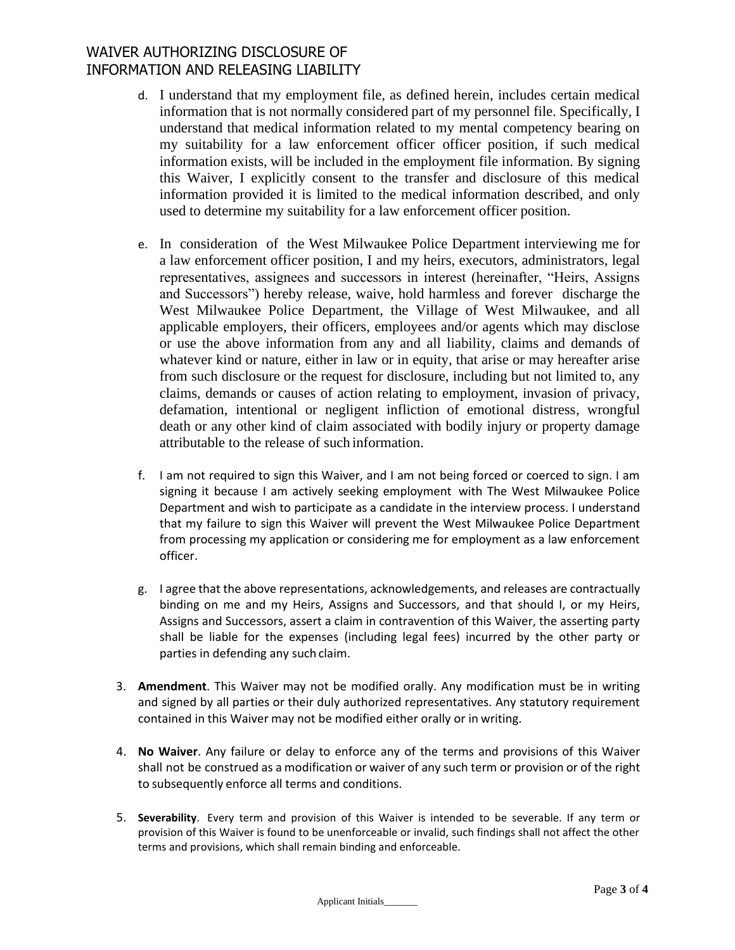# WAIVER AUTHORIZING DISCLOSURE OF INFORMATION AND RELEASING LIABILITY

- d. I understand that my employment file, as defined herein, includes certain medical information that is not normally considered part of my personnel file. Specifically, I understand that medical information related to my mental competency bearing on my suitability for a law enforcement officer officer position, if such medical information exists, will be included in the employment file information. By signing this Waiver, I explicitly consent to the transfer and disclosure of this medical information provided it is limited to the medical information described, and only used to determine my suitability for a law enforcement officer position.
- e. In consideration of the West Milwaukee Police Department interviewing me for a law enforcement officer position, I and my heirs, executors, administrators, legal representatives, assignees and successors in interest (hereinafter, "Heirs, Assigns and Successors") hereby release, waive, hold harmless and forever discharge the West Milwaukee Police Department, the Village of West Milwaukee, and all applicable employers, their officers, employees and/or agents which may disclose or use the above information from any and all liability, claims and demands of whatever kind or nature, either in law or in equity, that arise or may hereafter arise from such disclosure or the request for disclosure, including but not limited to, any claims, demands or causes of action relating to employment, invasion of privacy, defamation, intentional or negligent infliction of emotional distress, wrongful death or any other kind of claim associated with bodily injury or property damage attributable to the release of such information.
- f. I am not required to sign this Waiver, and I am not being forced or coerced to sign. I am signing it because I am actively seeking employment with The West Milwaukee Police Department and wish to participate as a candidate in the interview process. I understand that my failure to sign this Waiver will prevent the West Milwaukee Police Department from processing my application or considering me for employment as a law enforcement officer.
- g. I agree that the above representations, acknowledgements, and releases are contractually binding on me and my Heirs, Assigns and Successors, and that should I, or my Heirs, Assigns and Successors, assert a claim in contravention of this Waiver, the asserting party shall be liable for the expenses (including legal fees) incurred by the other party or parties in defending any such claim.
- 3. **Amendment**. This Waiver may not be modified orally. Any modification must be in writing and signed by all parties or their duly authorized representatives. Any statutory requirement contained in this Waiver may not be modified either orally or in writing.
- 4. **No Waiver**. Any failure or delay to enforce any of the terms and provisions of this Waiver shall not be construed as a modification or waiver of any such term or provision or of the right to subsequently enforce all terms and conditions.
- 5. **Severability**. Every term and provision of this Waiver is intended to be severable. If any term or provision of this Waiver is found to be unenforceable or invalid, such findings shall not affect the other terms and provisions, which shall remain binding and enforceable.

Applicant Initials\_\_\_\_\_\_\_